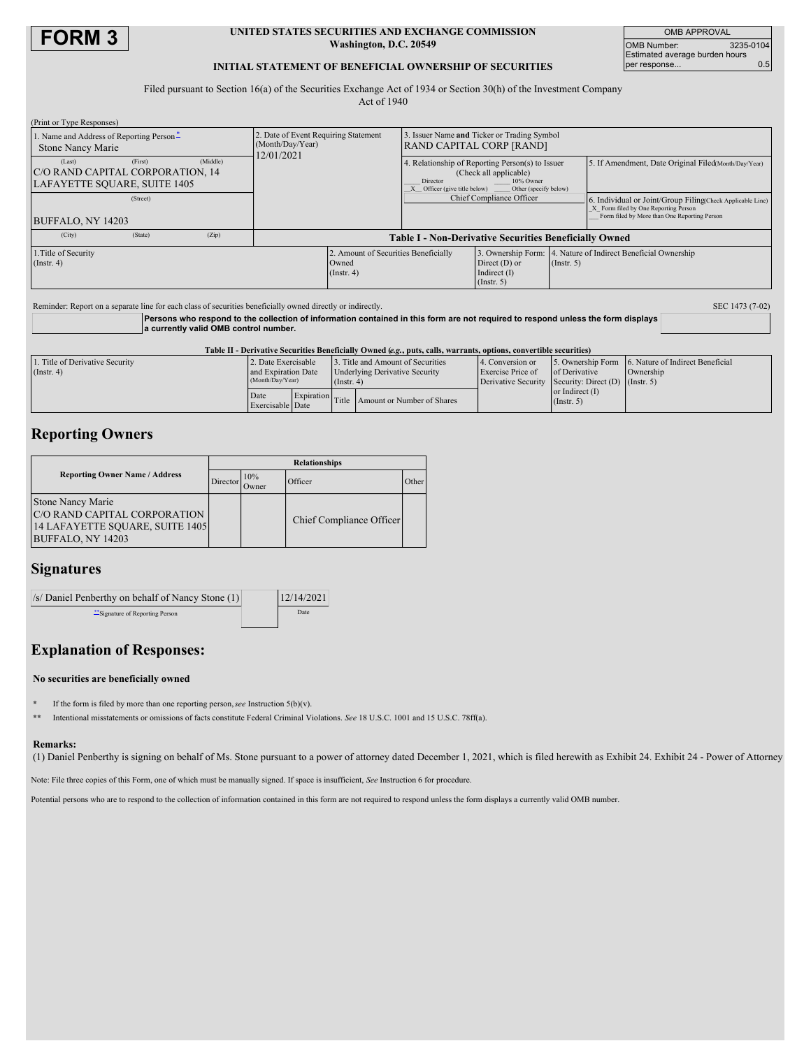

### **UNITED STATES SECURITIES AND EXCHANGE COMMISSION Washington, D.C. 20549**

OMB APPROVAL OMB Number: 3235-0104 Estimated average burden hours per response... 0.5

## **INITIAL STATEMENT OF BENEFICIAL OWNERSHIP OF SECURITIES**

Filed pursuant to Section 16(a) of the Securities Exchange Act of 1934 or Section 30(h) of the Investment Company Act of 1940

| (Print or Type Responses)                                                                         |                                                                        |                                                                           |                                                                                                                  |                  |                                                                                                                                                   |  |
|---------------------------------------------------------------------------------------------------|------------------------------------------------------------------------|---------------------------------------------------------------------------|------------------------------------------------------------------------------------------------------------------|------------------|---------------------------------------------------------------------------------------------------------------------------------------------------|--|
| 1. Name and Address of Reporting Person-<br><b>Stone Nancy Marie</b>                              | 2. Date of Event Requiring Statement<br>(Month/Day/Year)<br>12/01/2021 |                                                                           | 3. Issuer Name and Ticker or Trading Symbol<br><b>RAND CAPITAL CORP [RAND]</b>                                   |                  |                                                                                                                                                   |  |
| (Middle)<br>(Last)<br>(First)<br>C/O RAND CAPITAL CORPORATION, 14<br>LAFAYETTE SQUARE, SUITE 1405 |                                                                        | Director<br>Officer (give title below)                                    | 4. Relationship of Reporting Person(s) to Issuer<br>(Check all applicable)<br>10% Owner<br>Other (specify below) |                  | 5. If Amendment, Date Original Filed(Month/Day/Year)                                                                                              |  |
| (Street)<br>BUFFALO, NY 14203                                                                     |                                                                        |                                                                           | Chief Compliance Officer                                                                                         |                  | 6. Individual or Joint/Group FilingCheck Applicable Line)<br>X Form filed by One Reporting Person<br>Form filed by More than One Reporting Person |  |
| (City)<br>(State)<br>(Zip)                                                                        | <b>Table I - Non-Derivative Securities Beneficially Owned</b>          |                                                                           |                                                                                                                  |                  |                                                                                                                                                   |  |
| 1. Title of Security<br>(Insert. 4)                                                               | Owned<br>(Insert. 4)                                                   | 2. Amount of Securities Beneficially<br>Direct $(D)$ or<br>Indirect $(I)$ |                                                                                                                  | $($ Instr. 5 $)$ | 3. Ownership Form: 4. Nature of Indirect Beneficial Ownership                                                                                     |  |

| Reminder: Report on a separate line for each class of securities beneficially owned directly or indirectly.                                                               |                     |                                                                                                                        |             |                                       |                          |                                                     |                                                    |  |  |
|---------------------------------------------------------------------------------------------------------------------------------------------------------------------------|---------------------|------------------------------------------------------------------------------------------------------------------------|-------------|---------------------------------------|--------------------------|-----------------------------------------------------|----------------------------------------------------|--|--|
| Persons who respond to the collection of information contained in this form are not required to respond unless the form displays<br>a currently valid OMB control number. |                     |                                                                                                                        |             |                                       |                          |                                                     |                                                    |  |  |
| Table II - Derivative Securities Beneficially Owned (e.g., puts, calls, warrants, options, convertible securities)                                                        |                     |                                                                                                                        |             |                                       |                          |                                                     |                                                    |  |  |
| 1. Title of Derivative Security                                                                                                                                           | 2. Date Exercisable |                                                                                                                        |             | 3. Title and Amount of Securities     | 4. Conversion or         |                                                     | 5. Ownership Form 6. Nature of Indirect Beneficial |  |  |
| $($ Instr. 4 $)$                                                                                                                                                          | and Expiration Date |                                                                                                                        |             | <b>Underlying Derivative Security</b> | <b>Exercise Price of</b> | of Derivative                                       | Ownership                                          |  |  |
|                                                                                                                                                                           | (Month/Day/Year)    |                                                                                                                        | (Insert, 4) |                                       |                          | Derivative Security Security: Direct (D) (Instr. 5) |                                                    |  |  |
|                                                                                                                                                                           | $D - 4 -$           | $\Gamma$ <sub>r</sub> $\Gamma$ <sub>r</sub> $\Gamma$ <sub>r</sub> $\Gamma$ <sub>r</sub> $\Gamma$ <sub>r</sub> $\Gamma$ |             |                                       |                          | or Indirect $(I)$                                   |                                                    |  |  |

Amount or Number of Shares

(Instr. 5)

# **Reporting Owners**

|                                                                                                                  | <b>Relationships</b> |              |                          |       |  |  |
|------------------------------------------------------------------------------------------------------------------|----------------------|--------------|--------------------------|-------|--|--|
| <b>Reporting Owner Name / Address</b>                                                                            | Director             | 10%<br>Jwner | Officer                  | Other |  |  |
| <b>Stone Nancy Marie</b><br>C/O RAND CAPITAL CORPORATION<br>14 LAFAYETTE SOUARE, SUITE 1405<br>BUFFALO, NY 14203 |                      |              | Chief Compliance Officer |       |  |  |

Date Exerc Expiration<br>
Title<br>
Date

# **Signatures**

| $\sqrt{s}$ Daniel Penberthy on behalf of Nancy Stone (1) | 12/14/2021 |
|----------------------------------------------------------|------------|
| "Signature of Reporting Person                           | Date       |

# **Explanation of Responses:**

#### **No securities are beneficially owned**

- **\*** If the form is filed by more than one reporting person,*see* Instruction 5(b)(v).
- **\*\*** Intentional misstatements or omissions of facts constitute Federal Criminal Violations. *See* 18 U.S.C. 1001 and 15 U.S.C. 78ff(a).

#### **Remarks:**

(1) Daniel Penberthy is signing on behalf of Ms. Stone pursuant to a power of attorney dated December 1, 2021, which is filed herewith as Exhibit 24. Exhibit 24 - Power of Attorney

Note: File three copies of this Form, one of which must be manually signed. If space is insufficient, *See* Instruction 6 for procedure.

Potential persons who are to respond to the collection of information contained in this form are not required to respond unless the form displays a currently valid OMB number.